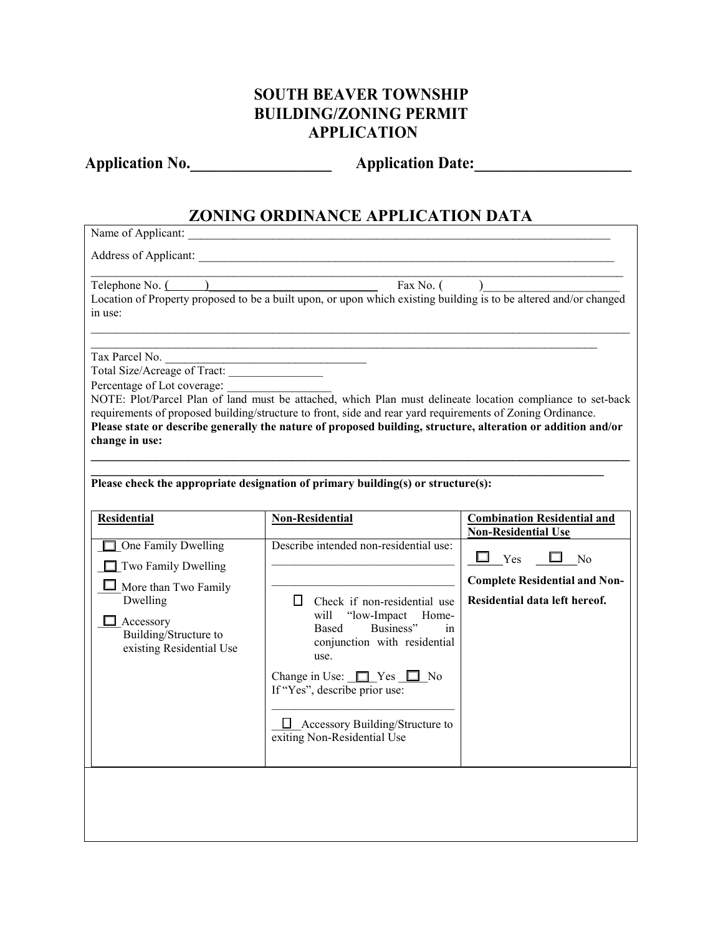# **SOUTH BEAVER TOWNSHIP BUILDING/ZONING PERMIT APPLICATION**

Application No. \_\_\_\_\_\_\_\_\_\_\_\_\_\_\_\_\_\_\_\_\_ Application Date: \_\_\_\_\_\_\_\_\_\_\_\_\_\_\_\_\_\_\_\_\_\_\_\_\_

# **ZONING ORDINANCE APPLICATION DATA**

| Name of Applicant:                                                                                                                                                                   |                                                                                                                                                                                                                                                                                                                                                              |                                                                                                                                                        |  |  |  |  |
|--------------------------------------------------------------------------------------------------------------------------------------------------------------------------------------|--------------------------------------------------------------------------------------------------------------------------------------------------------------------------------------------------------------------------------------------------------------------------------------------------------------------------------------------------------------|--------------------------------------------------------------------------------------------------------------------------------------------------------|--|--|--|--|
|                                                                                                                                                                                      | Address of Applicant:                                                                                                                                                                                                                                                                                                                                        |                                                                                                                                                        |  |  |  |  |
| Telephone No. (<br>in use:                                                                                                                                                           | Fax No. (<br>Location of Property proposed to be a built upon, or upon which existing building is to be altered and/or changed                                                                                                                                                                                                                               |                                                                                                                                                        |  |  |  |  |
| Tax Parcel No.<br>Total Size/Acreage of Tract:<br>Percentage of Lot coverage:<br>change in use:                                                                                      | NOTE: Plot/Parcel Plan of land must be attached, which Plan must delineate location compliance to set-back<br>requirements of proposed building/structure to front, side and rear yard requirements of Zoning Ordinance.<br>Please state or describe generally the nature of proposed building, structure, alteration or addition and/or                     |                                                                                                                                                        |  |  |  |  |
| Please check the appropriate designation of primary building(s) or structure(s):                                                                                                     |                                                                                                                                                                                                                                                                                                                                                              |                                                                                                                                                        |  |  |  |  |
| <b>Residential</b><br>One Family Dwelling<br>$\Box$ Two Family Dwelling<br>$\Box$ More than Two Family<br>Dwelling<br>Accessory<br>Building/Structure to<br>existing Residential Use | <b>Non-Residential</b><br>Describe intended non-residential use:<br>$\Box$ Check if non-residential use<br>"low-Impact<br>will<br>Home-<br>Business"<br>Based<br>in<br>conjunction with residential<br>use.<br>Change in Use: $\Box$ Yes $\Box$ No<br>If "Yes", describe prior use:<br>$\Box$ Accessory Building/Structure to<br>exiting Non-Residential Use | <b>Combination Residential and</b><br><b>Non-Residential Use</b><br>Yes<br>No<br><b>Complete Residential and Non-</b><br>Residential data left hereof. |  |  |  |  |
|                                                                                                                                                                                      |                                                                                                                                                                                                                                                                                                                                                              |                                                                                                                                                        |  |  |  |  |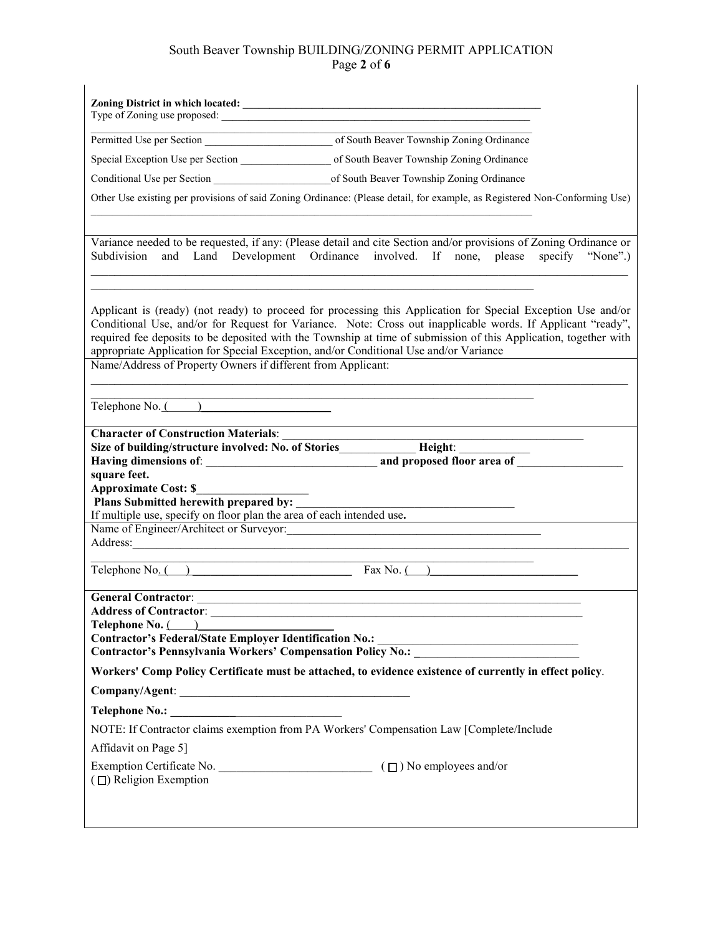# South Beaver Township BUILDING/ZONING PERMIT APPLICATION Page **2** of **6**

|                                                                | Permitted Use per Section of South Beaver Township Zoning Ordinance                                                                                                                                                                                                                                                                                                                                                                      |
|----------------------------------------------------------------|------------------------------------------------------------------------------------------------------------------------------------------------------------------------------------------------------------------------------------------------------------------------------------------------------------------------------------------------------------------------------------------------------------------------------------------|
|                                                                |                                                                                                                                                                                                                                                                                                                                                                                                                                          |
|                                                                |                                                                                                                                                                                                                                                                                                                                                                                                                                          |
|                                                                | Other Use existing per provisions of said Zoning Ordinance: (Please detail, for example, as Registered Non-Conforming Use)                                                                                                                                                                                                                                                                                                               |
|                                                                |                                                                                                                                                                                                                                                                                                                                                                                                                                          |
| Subdivision<br>and                                             | Variance needed to be requested, if any: (Please detail and cite Section and/or provisions of Zoning Ordinance or<br>Land Development Ordinance involved. If none, please<br>specify<br>"None".)                                                                                                                                                                                                                                         |
|                                                                |                                                                                                                                                                                                                                                                                                                                                                                                                                          |
|                                                                | Applicant is (ready) (not ready) to proceed for processing this Application for Special Exception Use and/or<br>Conditional Use, and/or for Request for Variance. Note: Cross out inapplicable words. If Applicant "ready",<br>required fee deposits to be deposited with the Township at time of submission of this Application, together with<br>appropriate Application for Special Exception, and/or Conditional Use and/or Variance |
| Name/Address of Property Owners if different from Applicant:   |                                                                                                                                                                                                                                                                                                                                                                                                                                          |
|                                                                | <u> 1989 - Johann John Stein, mars an deutscher Stein († 1958)</u>                                                                                                                                                                                                                                                                                                                                                                       |
| Telephone No. ( )                                              |                                                                                                                                                                                                                                                                                                                                                                                                                                          |
| <b>Character of Construction Materials:</b>                    |                                                                                                                                                                                                                                                                                                                                                                                                                                          |
|                                                                | Size of building/structure involved: No. of Stories_____________ Height: _______                                                                                                                                                                                                                                                                                                                                                         |
|                                                                |                                                                                                                                                                                                                                                                                                                                                                                                                                          |
| square feet.<br><b>Approximate Cost: \$</b>                    |                                                                                                                                                                                                                                                                                                                                                                                                                                          |
| Plans Submitted herewith prepared by:                          |                                                                                                                                                                                                                                                                                                                                                                                                                                          |
| Name of Engineer/Architect or Surveyor:                        | If multiple use, specify on floor plan the area of each intended use.                                                                                                                                                                                                                                                                                                                                                                    |
|                                                                | <u> 1989 - Jan James James Barnett, fransk politik (d. 1989)</u>                                                                                                                                                                                                                                                                                                                                                                         |
|                                                                |                                                                                                                                                                                                                                                                                                                                                                                                                                          |
| Telephone $No.$ ()                                             | Fax No. $($ )                                                                                                                                                                                                                                                                                                                                                                                                                            |
|                                                                |                                                                                                                                                                                                                                                                                                                                                                                                                                          |
| <b>Address of Contractor:</b><br><b>Telephone No.</b> $($      |                                                                                                                                                                                                                                                                                                                                                                                                                                          |
| <b>Contractor's Federal/State Employer Identification No.:</b> | Contractor's Pennsylvania Workers' Compensation Policy No.: _____________________                                                                                                                                                                                                                                                                                                                                                        |
|                                                                | Workers' Comp Policy Certificate must be attached, to evidence existence of currently in effect policy.                                                                                                                                                                                                                                                                                                                                  |
|                                                                |                                                                                                                                                                                                                                                                                                                                                                                                                                          |
|                                                                |                                                                                                                                                                                                                                                                                                                                                                                                                                          |
|                                                                | NOTE: If Contractor claims exemption from PA Workers' Compensation Law [Complete/Include                                                                                                                                                                                                                                                                                                                                                 |
| Affidavit on Page 5]                                           |                                                                                                                                                                                                                                                                                                                                                                                                                                          |
|                                                                |                                                                                                                                                                                                                                                                                                                                                                                                                                          |
| $(\Box)$ Religion Exemption                                    |                                                                                                                                                                                                                                                                                                                                                                                                                                          |
|                                                                |                                                                                                                                                                                                                                                                                                                                                                                                                                          |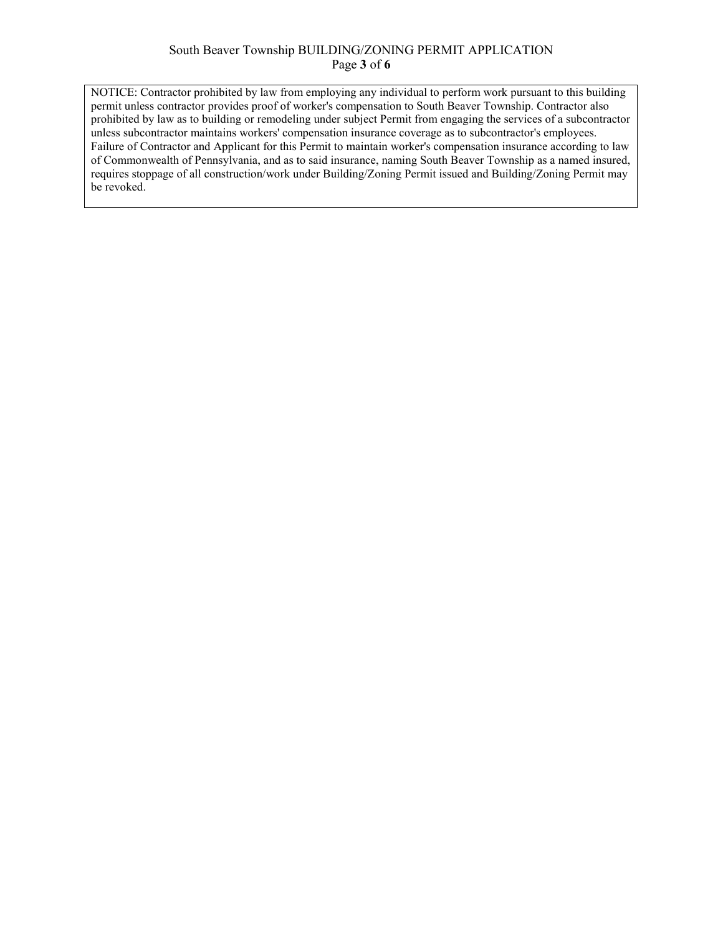#### South Beaver Township BUILDING/ZONING PERMIT APPLICATION Page **3** of **6**

NOTICE: Contractor prohibited by law from employing any individual to perform work pursuant to this building permit unless contractor provides proof of worker's compensation to South Beaver Township. Contractor also prohibited by law as to building or remodeling under subject Permit from engaging the services of a subcontractor unless subcontractor maintains workers' compensation insurance coverage as to subcontractor's employees. Failure of Contractor and Applicant for this Permit to maintain worker's compensation insurance according to law of Commonwealth of Pennsylvania, and as to said insurance, naming South Beaver Township as a named insured, requires stoppage of all construction/work under Building/Zoning Permit issued and Building/Zoning Permit may be revoked.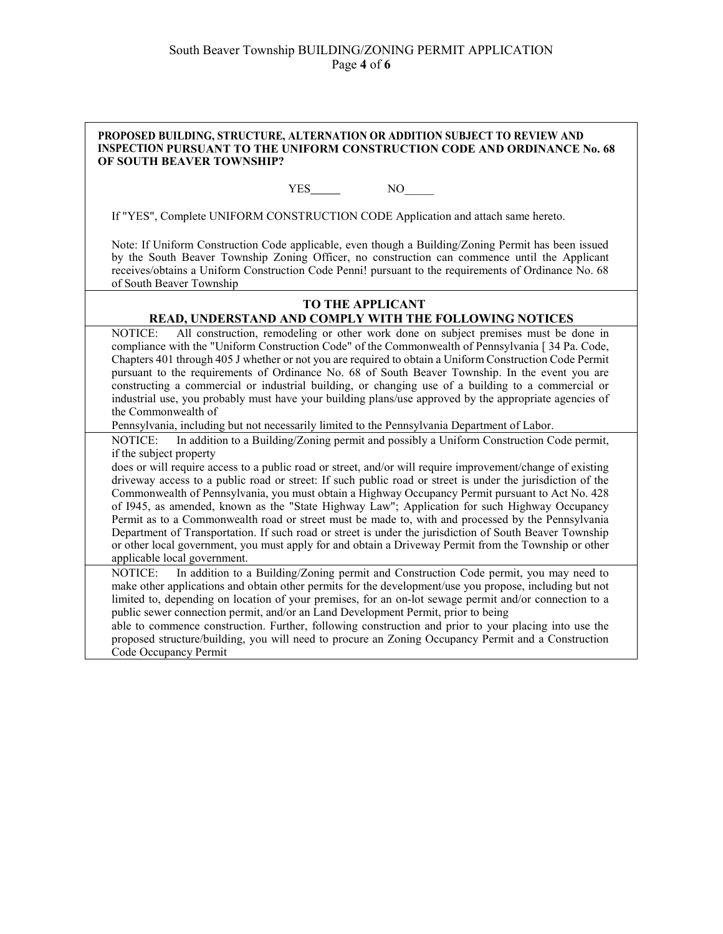| PROPOSED BUILDING, STRUCTURE, ALTERNATION OR ADDITION SUBJECT TO REVIEW AND<br>INSPECTION PURSUANT TO THE UNIFORM CONSTRUCTION CODE AND ORDINANCE No. 68<br>OF SOUTH BEAVER TOWNSHIP?                                                                                                                                                                                                                                                                                                                                                                                                                                                                                                                                                                                                                                                                                                                                     |    |  |  |  |
|---------------------------------------------------------------------------------------------------------------------------------------------------------------------------------------------------------------------------------------------------------------------------------------------------------------------------------------------------------------------------------------------------------------------------------------------------------------------------------------------------------------------------------------------------------------------------------------------------------------------------------------------------------------------------------------------------------------------------------------------------------------------------------------------------------------------------------------------------------------------------------------------------------------------------|----|--|--|--|
|                                                                                                                                                                                                                                                                                                                                                                                                                                                                                                                                                                                                                                                                                                                                                                                                                                                                                                                           | NO |  |  |  |
| If "YES", Complete UNIFORM CONSTRUCTION CODE Application and attach same hereto.                                                                                                                                                                                                                                                                                                                                                                                                                                                                                                                                                                                                                                                                                                                                                                                                                                          |    |  |  |  |
| Note: If Uniform Construction Code applicable, even though a Building/Zoning Permit has been issued<br>by the South Beaver Township Zoning Officer, no construction can commence until the Applicant<br>receives/obtains a Uniform Construction Code Penni! pursuant to the requirements of Ordinance No. 68<br>of South Beaver Township                                                                                                                                                                                                                                                                                                                                                                                                                                                                                                                                                                                  |    |  |  |  |
| <b>TO THE APPLICANT</b>                                                                                                                                                                                                                                                                                                                                                                                                                                                                                                                                                                                                                                                                                                                                                                                                                                                                                                   |    |  |  |  |
| READ, UNDERSTAND AND COMPLY WITH THE FOLLOWING NOTICES                                                                                                                                                                                                                                                                                                                                                                                                                                                                                                                                                                                                                                                                                                                                                                                                                                                                    |    |  |  |  |
| All construction, remodeling or other work done on subject premises must be done in<br>NOTICE:<br>compliance with the "Uniform Construction Code" of the Commonwealth of Pennsylvania [34 Pa. Code,<br>Chapters 401 through 405 J whether or not you are required to obtain a Uniform Construction Code Permit<br>pursuant to the requirements of Ordinance No. 68 of South Beaver Township. In the event you are<br>constructing a commercial or industrial building, or changing use of a building to a commercial or<br>industrial use, you probably must have your building plans/use approved by the appropriate agencies of<br>the Commonwealth of                                                                                                                                                                                                                                                                  |    |  |  |  |
| Pennsylvania, including but not necessarily limited to the Pennsylvania Department of Labor.                                                                                                                                                                                                                                                                                                                                                                                                                                                                                                                                                                                                                                                                                                                                                                                                                              |    |  |  |  |
| In addition to a Building/Zoning permit and possibly a Uniform Construction Code permit,<br>NOTICE:<br>if the subject property<br>does or will require access to a public road or street, and/or will require improvement/change of existing<br>driveway access to a public road or street: If such public road or street is under the jurisdiction of the<br>Commonwealth of Pennsylvania, you must obtain a Highway Occupancy Permit pursuant to Act No. 428<br>of 1945, as amended, known as the "State Highway Law"; Application for such Highway Occupancy<br>Permit as to a Commonwealth road or street must be made to, with and processed by the Pennsylvania<br>Department of Transportation. If such road or street is under the jurisdiction of South Beaver Township<br>or other local government, you must apply for and obtain a Driveway Permit from the Township or other<br>applicable local government. |    |  |  |  |
| In addition to a Building/Zoning permit and Construction Code permit, you may need to<br><b>NOTICE:</b><br>make other applications and obtain other permits for the development/use you propose, including but not<br>limited to, depending on location of your premises, for an on-lot sewage permit and/or connection to a<br>public sewer connection permit, and/or an Land Development Permit, prior to being<br>able to commence construction. Further, following construction and prior to your placing into use the<br>proposed structure/building, you will need to procure an Zoning Occupancy Permit and a Construction<br>Code Occupancy Permit                                                                                                                                                                                                                                                                |    |  |  |  |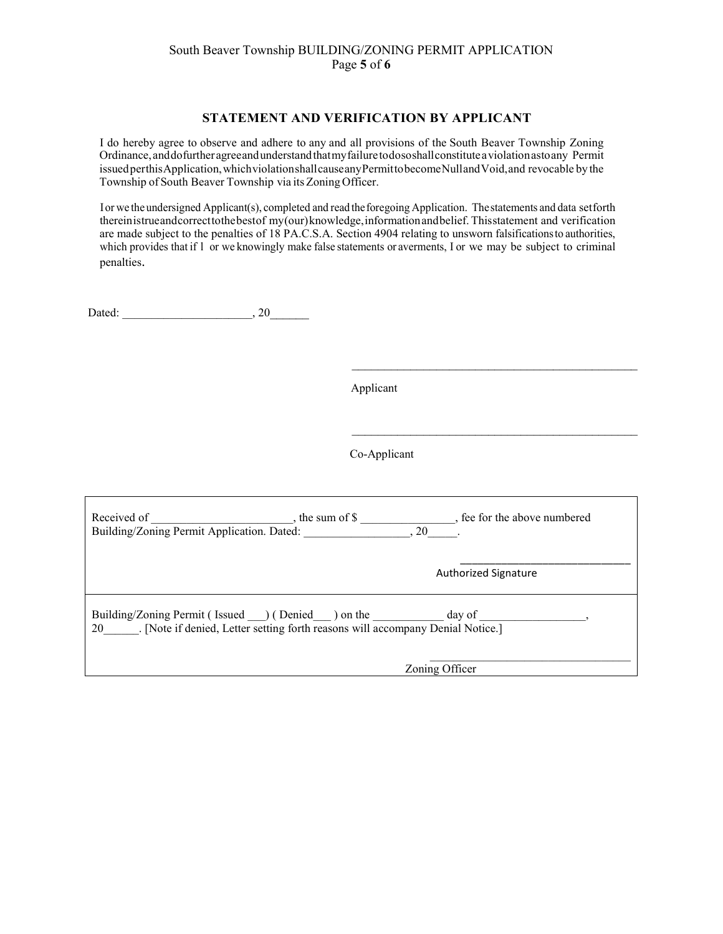## South Beaver Township BUILDING/ZONING PERMIT APPLICATION Page **5** of **6**

### **STATEMENT AND VERIFICATION BY APPLICANT**

I do hereby agree to observe and adhere to any and all provisions of the South Beaver Township Zoning Ordinance,anddofurtheragreeandunderstandthatmyfailuretodososhallconstituteaviolationastoany Permit issuedperthisApplication,whichviolationshallcauseanyPermittobecomeNullandVoid,and revocable by the Township of South Beaver Township via its Zoning Officer.

Ior we theundersigned Applicant(s), completed and read theforegoing Application. Thestatements and data setforth thereinistrueandcorrecttothebestof my(our)knowledge,informationandbelief. Thisstatement and verification are made subject to the penalties of 18 PA.C.S.A. Section 4904 relating to unsworn falsificationsto authorities, which provides that if 1 or we knowingly make false statements or averments, I or we may be subject to criminal penalties.

Dated: \_\_\_\_\_\_\_\_\_\_\_\_\_\_\_\_\_\_\_\_\_\_, 20\_\_\_\_\_\_

Applicant

\_\_\_\_\_\_\_\_\_\_\_\_\_\_\_\_\_\_\_\_\_\_\_\_\_\_\_\_\_\_\_\_\_\_\_\_\_\_\_\_\_\_\_\_

 $\overline{\phantom{a}}$  , where  $\overline{\phantom{a}}$  , where  $\overline{\phantom{a}}$  ,  $\overline{\phantom{a}}$  ,  $\overline{\phantom{a}}$  ,  $\overline{\phantom{a}}$  ,  $\overline{\phantom{a}}$  ,  $\overline{\phantom{a}}$  ,  $\overline{\phantom{a}}$  ,  $\overline{\phantom{a}}$  ,  $\overline{\phantom{a}}$  ,  $\overline{\phantom{a}}$  ,  $\overline{\phantom{a}}$  ,  $\overline{\phantom{a}}$  ,  $\overline{\phantom{a}}$  ,

Co-Applicant

| Received of<br>Building/Zoning Permit Application. Dated: | , the sum of $\$$                                                              | , fee for the above numbered<br>.20 |  |
|-----------------------------------------------------------|--------------------------------------------------------------------------------|-------------------------------------|--|
|                                                           |                                                                                | <b>Authorized Signature</b>         |  |
| Building/Zoning Permit (Issued ) (Denied ) on the<br>20   | . [Note if denied, Letter setting forth reasons will accompany Denial Notice.] | day of                              |  |
|                                                           |                                                                                | Zoning Officer                      |  |